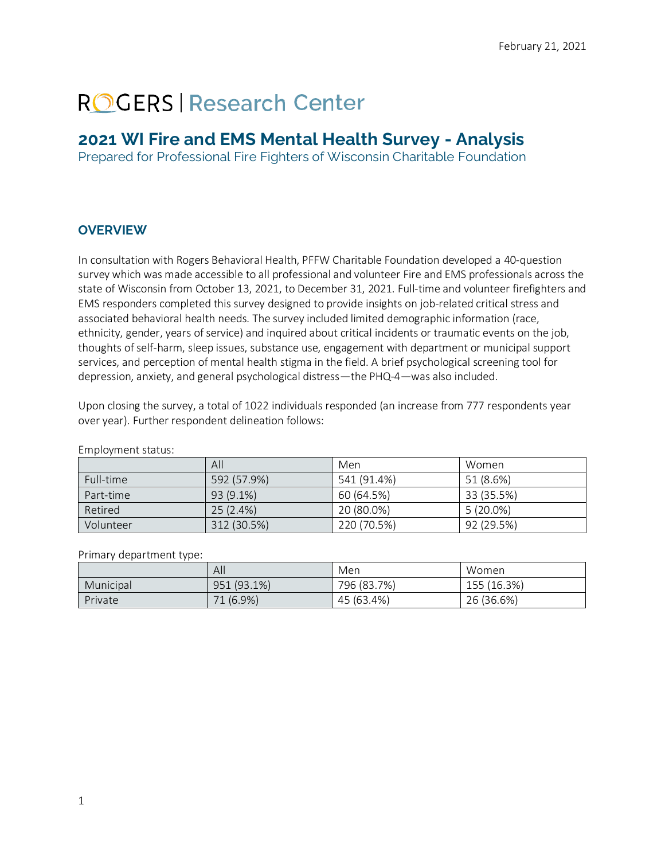# **ROGERS Research Center**

# **2021 WI Fire and EMS Mental Health Survey - Analysis**

Prepared for Professional Fire Fighters of Wisconsin Charitable Foundation

# **OVERVIEW**

In consultation with Rogers Behavioral Health, PFFW Charitable Foundation developed a 40-question survey which was made accessible to all professional and volunteer Fire and EMS professionals across the state of Wisconsin from October 13, 2021, to December 31, 2021. Full-time and volunteer firefighters and EMS responders completed this survey designed to provide insights on job-related critical stress and associated behavioral health needs. The survey included limited demographic information (race, ethnicity, gender, years of service) and inquired about critical incidents or traumatic events on the job, thoughts of self-harm, sleep issues, substance use, engagement with department or municipal support services, and perception of mental health stigma in the field. A brief psychological screening tool for depression, anxiety, and general psychological distress—the PHQ-4—was also included.

Upon closing the survey, a total of 1022 individuals responded (an increase from 777 respondents year over year). Further respondent delineation follows:

|           | All         | Men         | Women       |
|-----------|-------------|-------------|-------------|
| Full-time | 592 (57.9%) | 541 (91.4%) | 51 (8.6%)   |
| Part-time | 93 (9.1%)   | 60 (64.5%)  | 33 (35.5%)  |
| Retired   | 25(2.4%)    | 20 (80.0%)  | $5(20.0\%)$ |
| Volunteer | 312 (30.5%) | 220 (70.5%) | 92 (29.5%)  |

Employment status:

#### Primary department type:

|           | All         | Men         | Women       |
|-----------|-------------|-------------|-------------|
| Municipal | 951 (93.1%) | 796 (83.7%) | 155 (16.3%) |
| Private   | 71 (6.9%)   | 45 (63.4%)  | 26 (36.6%)  |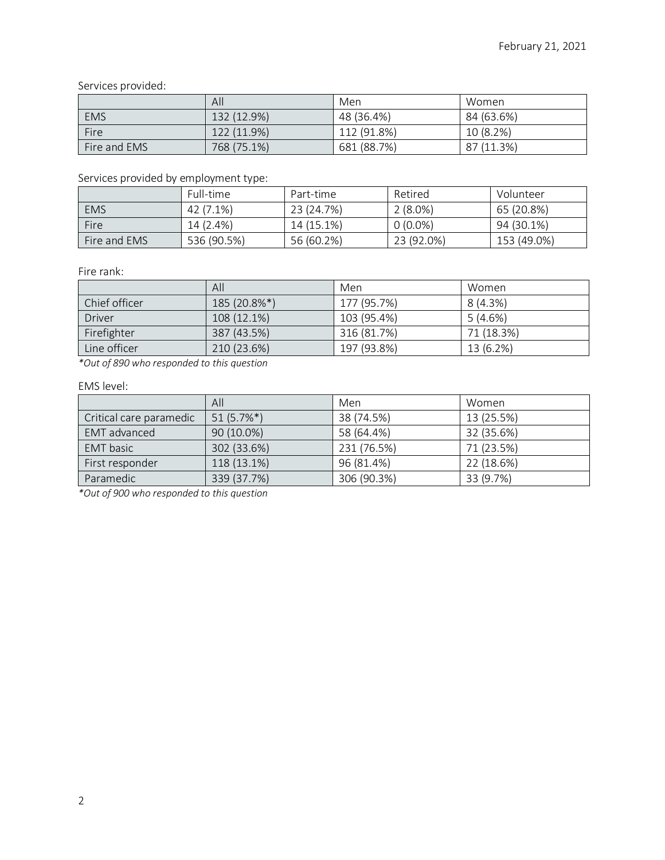Services provided:

|              | All         | Men         | Women      |
|--------------|-------------|-------------|------------|
| <b>EMS</b>   | 132 (12.9%) | 48 (36.4%)  | 84 (63.6%) |
| Fire         | 122 (11.9%) | 112 (91.8%) | 10 (8.2%)  |
| Fire and EMS | 768 (75.1%) | 681 (88.7%) | 87 (11.3%) |

## Services provided by employment type:

|              | Full-time   | Part-time  | Retired    | Volunteer   |
|--------------|-------------|------------|------------|-------------|
| <b>EMS</b>   | 42 (7.1%)   | 23 (24.7%) | $2(8.0\%)$ | 65 (20.8%)  |
| Fire         | 14 (2.4%)   | 14 (15.1%) | $0(0.0\%)$ | 94 (30.1%)  |
| Fire and EMS | 536 (90.5%) | 56 (60.2%) | 23 (92.0%) | 153 (49.0%) |

Fire rank:

|               | All          | Men         | Women      |
|---------------|--------------|-------------|------------|
| Chief officer | 185 (20.8%*) | 177 (95.7%) | 8(4.3%)    |
| <b>Driver</b> | 108 (12.1%)  | 103 (95.4%) | 5(4.6%)    |
| Firefighter   | 387 (43.5%)  | 316 (81.7%) | 71 (18.3%) |
| Line officer  | 210 (23.6%)  | 197 (93.8%) | 13 (6.2%)  |

*\*Out of 890 who responded to this question*

#### EMS level:

|                         | All          | Men         | Women      |
|-------------------------|--------------|-------------|------------|
| Critical care paramedic | $51(5.7\%*)$ | 38 (74.5%)  | 13 (25.5%) |
| <b>EMT</b> advanced     | 90 (10.0%)   | 58 (64.4%)  | 32 (35.6%) |
| <b>EMT</b> basic        | 302 (33.6%)  | 231 (76.5%) | 71 (23.5%) |
| First responder         | 118 (13.1%)  | 96 (81.4%)  | 22 (18.6%) |
| Paramedic               | 339 (37.7%)  | 306 (90.3%) | 33 (9.7%)  |

*\*Out of 900 who responded to this question*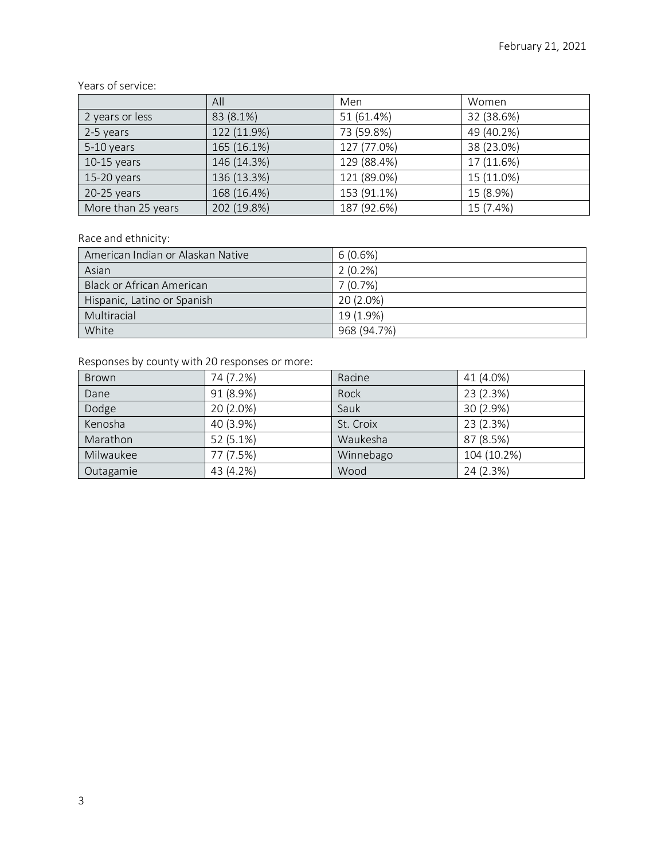#### Years of service:

|                    | All         | Men         | Women      |
|--------------------|-------------|-------------|------------|
| 2 years or less    | 83 (8.1%)   | 51 (61.4%)  | 32 (38.6%) |
| 2-5 years          | 122 (11.9%) | 73 (59.8%)  | 49 (40.2%) |
| 5-10 years         | 165 (16.1%) | 127 (77.0%) | 38 (23.0%) |
| $10-15$ years      | 146 (14.3%) | 129 (88.4%) | 17 (11.6%) |
| $15-20$ years      | 136 (13.3%) | 121 (89.0%) | 15 (11.0%) |
| $20-25$ years      | 168 (16.4%) | 153 (91.1%) | 15 (8.9%)  |
| More than 25 years | 202 (19.8%) | 187 (92.6%) | 15 (7.4%)  |

## Race and ethnicity:

| American Indian or Alaskan Native | $6(0.6\%)$  |
|-----------------------------------|-------------|
| Asian                             | $2(0.2\%)$  |
| Black or African American         | 7(0.7%)     |
| Hispanic, Latino or Spanish       | 20 (2.0%)   |
| Multiracial                       | 19 (1.9%)   |
| White                             | 968 (94.7%) |

# Responses by county with 20 responses or more:

| <b>Brown</b> | 74 (7.2%) | Racine    | 41 (4.0%)   |
|--------------|-----------|-----------|-------------|
| Dane         | 91 (8.9%) | Rock      | 23 (2.3%)   |
| Dodge        | 20 (2.0%) | Sauk      | 30 (2.9%)   |
| Kenosha      | 40 (3.9%) | St. Croix | 23 (2.3%)   |
| Marathon     | 52 (5.1%) | Waukesha  | 87 (8.5%)   |
| Milwaukee    | 77 (7.5%) | Winnebago | 104 (10.2%) |
| Outagamie    | 43 (4.2%) | Wood      | 24 (2.3%)   |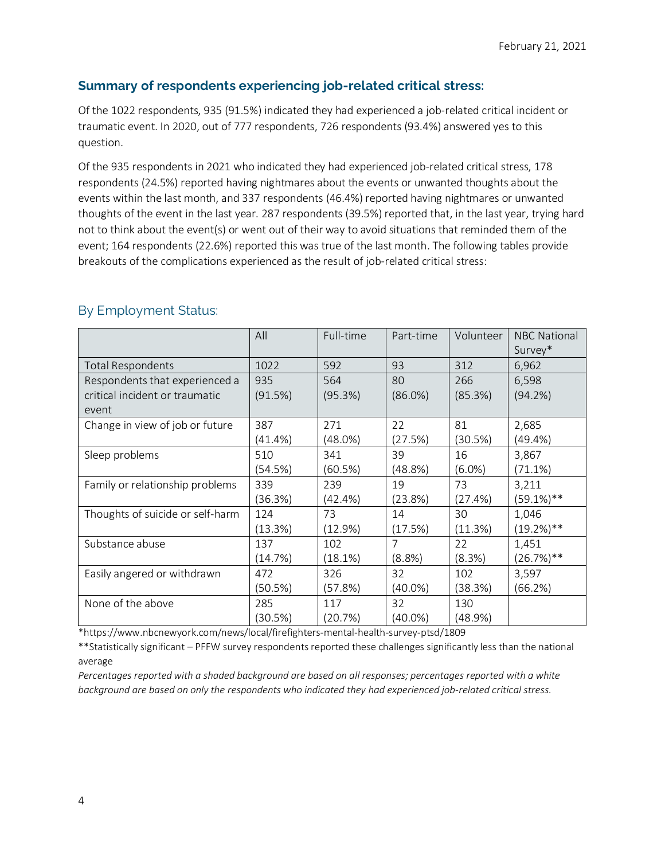# **Summary of respondents experiencing job-related critical stress:**

Of the 1022 respondents, 935 (91.5%) indicated they had experienced a job-related critical incident or traumatic event. In 2020, out of 777 respondents, 726 respondents (93.4%) answered yes to this question.

Of the 935 respondents in 2021 who indicated they had experienced job-related critical stress, 178 respondents (24.5%) reported having nightmares about the events or unwanted thoughts about the events within the last month, and 337 respondents (46.4%) reported having nightmares or unwanted thoughts of the event in the last year. 287 respondents (39.5%) reported that, in the last year, trying hard not to think about the event(s) or went out of their way to avoid situations that reminded them of the event; 164 respondents (22.6%) reported this was true of the last month. The following tables provide breakouts of the complications experienced as the result of job-related critical stress:

|                                  | All        | Full-time | Part-time      | Volunteer | <b>NBC National</b><br>Survey* |
|----------------------------------|------------|-----------|----------------|-----------|--------------------------------|
| <b>Total Respondents</b>         | 1022       | 592       | 93             | 312       | 6,962                          |
| Respondents that experienced a   | 935        | 564       | 80             | 266       | 6,598                          |
| critical incident or traumatic   | (91.5%)    | (95.3%)   | $(86.0\%)$     | (85.3%)   | (94.2%)                        |
| event                            |            |           |                |           |                                |
| Change in view of job or future  | 387        | 271       | 22             | 81        | 2,685                          |
|                                  | $(41.4\%)$ | (48.0%)   | (27.5%)        | (30.5%)   | (49.4%                         |
| Sleep problems                   | 510        | 341       | 39             | 16        | 3,867                          |
|                                  | (54.5%)    | (60.5%)   | (48.8%)        | $(6.0\%)$ | (71.1%)                        |
| Family or relationship problems  | 339        | 239       | 19             | 73        | 3,211                          |
|                                  | (36.3%)    | (42.4%)   | (23.8%)        | (27.4%)   | $(59.1\%)$ **                  |
| Thoughts of suicide or self-harm | 124        | 73        | 14             | 30        | 1,046                          |
|                                  | (13.3%)    | (12.9%)   | (17.5%)        | (11.3%)   | $(19.2\%)$ **                  |
| Substance abuse                  | 137        | 102       | $\overline{7}$ | 22        | 1,451                          |
|                                  | (14.7%)    | (18.1%)   | (8.8%)         | (8.3%)    | $(26.7%)$ **                   |
| Easily angered or withdrawn      | 472        | 326       | 32             | 102       | 3,597                          |
|                                  | (50.5%)    | (57.8%)   | $(40.0\%)$     | (38.3%)   | (66.2%)                        |
| None of the above                | 285        | 117       | 32             | 130       |                                |
|                                  | (30.5%)    | (20.7%)   | $(40.0\%)$     | (48.9%)   |                                |

# By Employment Status:

\*https://www.nbcnewyork.com/news/local/firefighters-mental-health-survey-ptsd/1809

\*\*Statistically significant – PFFW survey respondents reported these challenges significantly less than the national average

*Percentages reported with a shaded background are based on all responses; percentages reported with a white background are based on only the respondents who indicated they had experienced job-related critical stress.*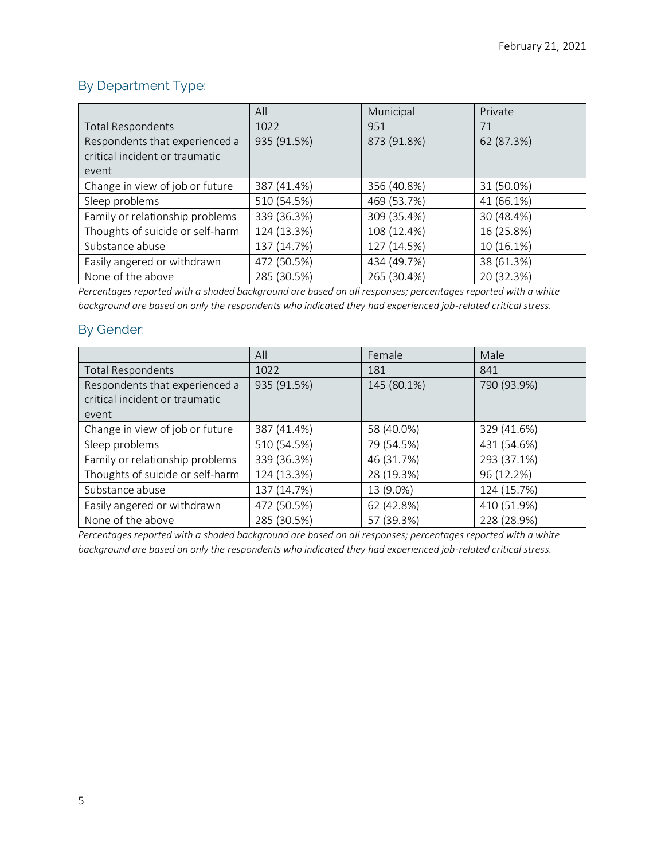# By Department Type:

|                                  | All         | Municipal   | Private    |
|----------------------------------|-------------|-------------|------------|
| <b>Total Respondents</b>         | 1022        | 951         | 71         |
| Respondents that experienced a   | 935 (91.5%) | 873 (91.8%) | 62 (87.3%) |
| critical incident or traumatic   |             |             |            |
| event                            |             |             |            |
| Change in view of job or future  | 387 (41.4%) | 356 (40.8%) | 31 (50.0%) |
| Sleep problems                   | 510 (54.5%) | 469 (53.7%) | 41 (66.1%) |
| Family or relationship problems  | 339 (36.3%) | 309 (35.4%) | 30 (48.4%) |
| Thoughts of suicide or self-harm | 124 (13.3%) | 108 (12.4%) | 16 (25.8%) |
| Substance abuse                  | 137 (14.7%) | 127 (14.5%) | 10 (16.1%) |
| Easily angered or withdrawn      | 472 (50.5%) | 434 (49.7%) | 38 (61.3%) |
| None of the above                | 285 (30.5%) | 265 (30.4%) | 20 (32.3%) |

*Percentages reported with a shaded background are based on all responses; percentages reported with a white background are based on only the respondents who indicated they had experienced job-related critical stress.*

# By Gender:

|                                  | All         | Female      | Male        |
|----------------------------------|-------------|-------------|-------------|
| <b>Total Respondents</b>         | 1022        | 181         | 841         |
| Respondents that experienced a   | 935 (91.5%) | 145 (80.1%) | 790 (93.9%) |
| critical incident or traumatic   |             |             |             |
| event                            |             |             |             |
| Change in view of job or future  | 387 (41.4%) | 58 (40.0%)  | 329 (41.6%) |
| Sleep problems                   | 510 (54.5%) | 79 (54.5%)  | 431 (54.6%) |
| Family or relationship problems  | 339 (36.3%) | 46 (31.7%)  | 293 (37.1%) |
| Thoughts of suicide or self-harm | 124 (13.3%) | 28 (19.3%)  | 96 (12.2%)  |
| Substance abuse                  | 137 (14.7%) | 13 (9.0%)   | 124 (15.7%) |
| Easily angered or withdrawn      | 472 (50.5%) | 62 (42.8%)  | 410 (51.9%) |
| None of the above                | 285 (30.5%) | 57 (39.3%)  | 228 (28.9%) |

*Percentages reported with a shaded background are based on all responses; percentages reported with a white background are based on only the respondents who indicated they had experienced job-related critical stress.*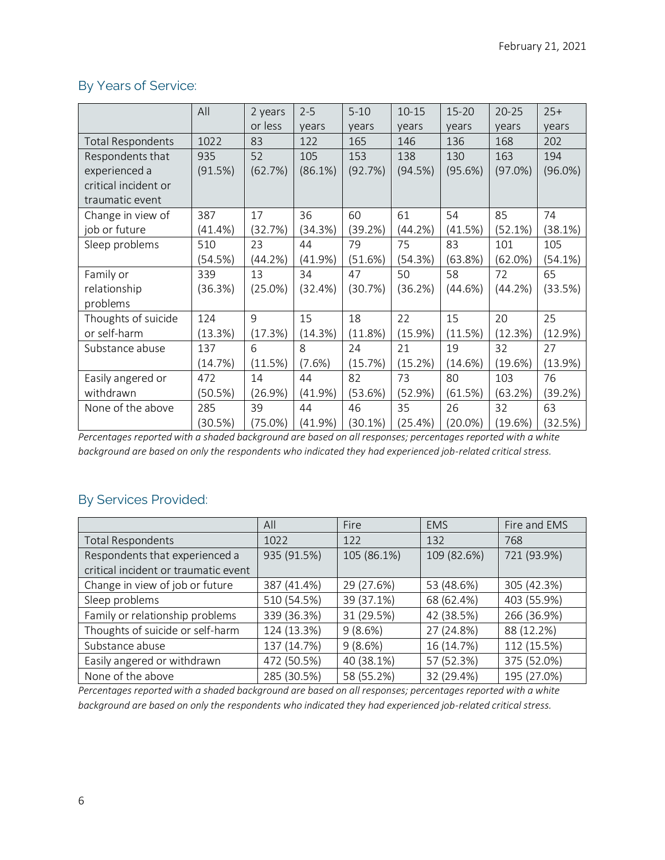# By Years of Service:

|                          | All        | 2 years    | $2 - 5$ | $5 - 10$ | $10 - 15$ | $15 - 20$  | $20 - 25$  | $25+$      |
|--------------------------|------------|------------|---------|----------|-----------|------------|------------|------------|
|                          |            | or less    | years   | years    | years     | years      | years      | years      |
| <b>Total Respondents</b> | 1022       | 83         | 122     | 165      | 146       | 136        | 168        | 202        |
| Respondents that         | 935        | 52         | 105     | 153      | 138       | 130        | 163        | 194        |
| experienced a            | (91.5%)    | (62.7%)    | (86.1%) | (92.7%)  | (94.5%)   | (95.6%)    | $(97.0\%)$ | $(96.0\%)$ |
| critical incident or     |            |            |         |          |           |            |            |            |
| traumatic event          |            |            |         |          |           |            |            |            |
| Change in view of        | 387        | 17         | 36      | 60       | 61        | 54         | 85         | 74         |
| job or future            | $(41.4\%)$ | (32.7%)    | (34.3%) | (39.2%)  | (44.2%)   | (41.5%)    | (52.1%)    | (38.1%)    |
| Sleep problems           | 510        | 23         | 44      | 79       | 75        | 83         | 101        | 105        |
|                          | (54.5%)    | (44.2%)    | (41.9%) | (51.6%)  | (54.3%)   | (63.8%)    | (62.0%)    | (54.1%)    |
| Family or                | 339        | 13         | 34      | 47       | 50        | 58         | 72         | 65         |
| relationship             | (36.3%)    | $(25.0\%)$ | (32.4%) | (30.7%)  | (36.2%)   | (44.6%)    | (44.2%)    | (33.5%)    |
| problems                 |            |            |         |          |           |            |            |            |
| Thoughts of suicide      | 124        | 9          | 15      | 18       | 22        | 15         | 20         | 25         |
| or self-harm             | (13.3%)    | (17.3%)    | (14.3%) | (11.8%)  | (15.9%)   | (11.5%)    | (12.3%)    | (12.9%)    |
| Substance abuse          | 137        | 6          | 8       | 24       | 21        | 19         | 32         | 27         |
|                          | (14.7%)    | (11.5%)    | (7.6%)  | (15.7%)  | (15.2%)   | (14.6%)    | (19.6%)    | (13.9%)    |
| Easily angered or        | 472        | 14         | 44      | 82       | 73        | 80         | 103        | 76         |
| withdrawn                | (50.5%)    | (26.9%)    | (41.9%) | (53.6%)  | (52.9%)   | (61.5%)    | (63.2%)    | (39.2%)    |
| None of the above        | 285        | 39         | 44      | 46       | 35        | 26         | 32         | 63         |
|                          | (30.5%)    | $(75.0\%)$ | (41.9%) | (30.1%)  | (25.4%)   | $(20.0\%)$ | (19.6%)    | (32.5%)    |

*Percentages reported with a shaded background are based on all responses; percentages reported with a white background are based on only the respondents who indicated they had experienced job-related critical stress.*

# By Services Provided:

|                                      | All         | Fire        | <b>EMS</b>  | Fire and EMS |
|--------------------------------------|-------------|-------------|-------------|--------------|
| <b>Total Respondents</b>             | 1022        | 122         | 132         | 768          |
| Respondents that experienced a       | 935 (91.5%) | 105 (86.1%) | 109 (82.6%) | 721 (93.9%)  |
| critical incident or traumatic event |             |             |             |              |
| Change in view of job or future      | 387 (41.4%) | 29 (27.6%)  | 53 (48.6%)  | 305 (42.3%)  |
| Sleep problems                       | 510 (54.5%) | 39 (37.1%)  | 68 (62.4%)  | 403 (55.9%)  |
| Family or relationship problems      | 339 (36.3%) | 31 (29.5%)  | 42 (38.5%)  | 266 (36.9%)  |
| Thoughts of suicide or self-harm     | 124 (13.3%) | 9(8.6%)     | 27 (24.8%)  | 88 (12.2%)   |
| Substance abuse                      | 137 (14.7%) | 9(8.6%)     | 16 (14.7%)  | 112 (15.5%)  |
| Easily angered or withdrawn          | 472 (50.5%) | 40 (38.1%)  | 57 (52.3%)  | 375 (52.0%)  |
| None of the above                    | 285 (30.5%) | 58 (55.2%)  | 32 (29.4%)  | 195 (27.0%)  |

*Percentages reported with a shaded background are based on all responses; percentages reported with a white background are based on only the respondents who indicated they had experienced job-related critical stress.*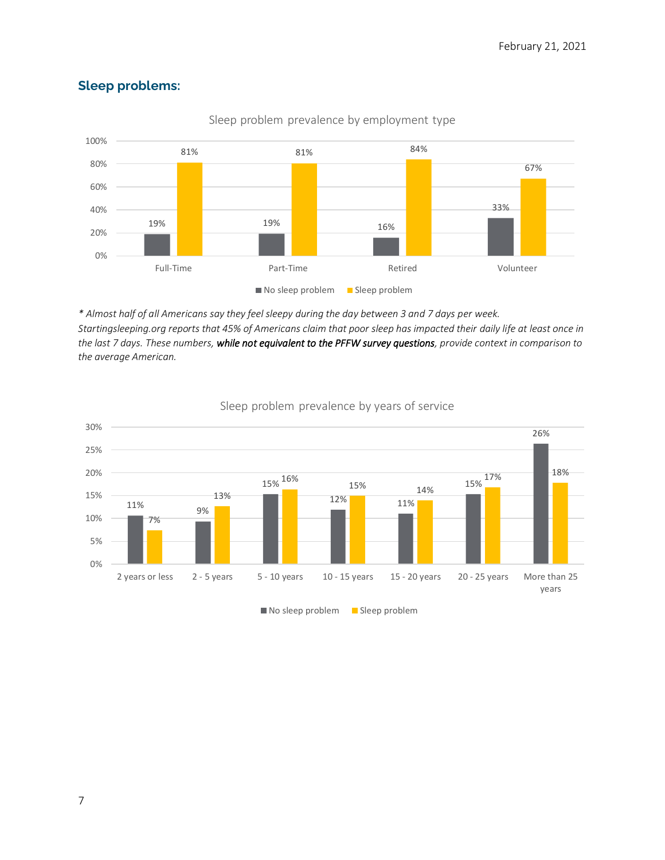

Sleep problem prevalence by employment type

# **Sleep problems:**

*\* Almost half of all Americans say they feel sleepy during the day between 3 and 7 days per week. Startingsleeping.org reports that 45% of Americans claim that poor sleep has impacted their daily life at least once in the last 7 days. These numbers, while not equivalent to the PFFW survey questions, provide context in comparison to the average American.*



#### Sleep problem prevalence by years of service

 $\blacksquare$  No sleep problem  $\blacksquare$  Sleep problem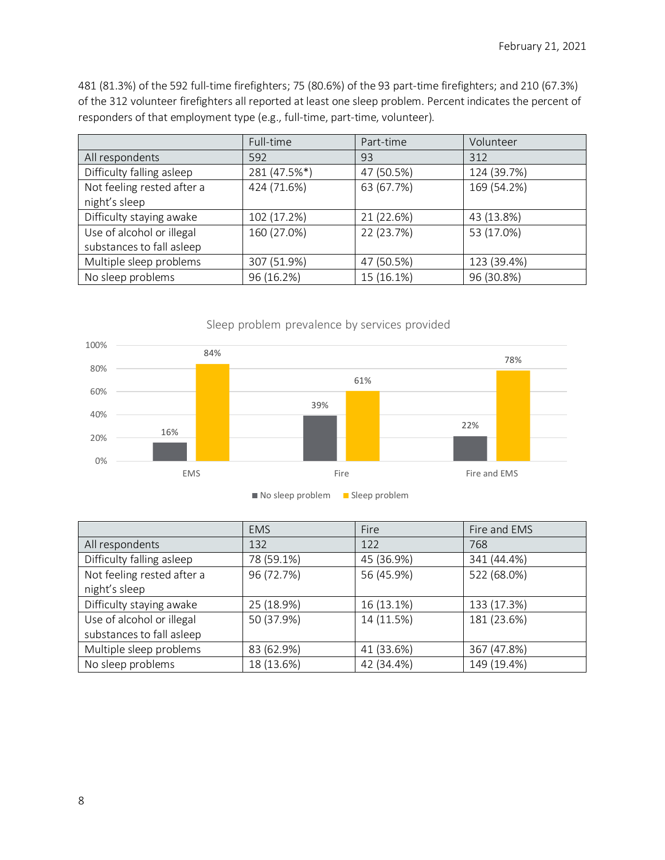481 (81.3%) of the 592 full-time firefighters; 75 (80.6%) of the 93 part-time firefighters; and 210 (67.3%) of the 312 volunteer firefighters all reported at least one sleep problem. Percent indicates the percent of responders of that employment type (e.g., full-time, part-time, volunteer).

|                            | Full-time    | Part-time  | Volunteer   |
|----------------------------|--------------|------------|-------------|
| All respondents            | 592          | 93         | 312         |
| Difficulty falling asleep  | 281 (47.5%*) | 47 (50.5%) | 124 (39.7%) |
| Not feeling rested after a | 424 (71.6%)  | 63 (67.7%) | 169 (54.2%) |
| night's sleep              |              |            |             |
| Difficulty staying awake   | 102 (17.2%)  | 21 (22.6%) | 43 (13.8%)  |
| Use of alcohol or illegal  | 160 (27.0%)  | 22 (23.7%) | 53 (17.0%)  |
| substances to fall asleep  |              |            |             |
| Multiple sleep problems    | 307 (51.9%)  | 47 (50.5%) | 123 (39.4%) |
| No sleep problems          | 96 (16.2%)   | 15 (16.1%) | 96 (30.8%)  |



|                            | <b>EMS</b> | Fire       | Fire and EMS |
|----------------------------|------------|------------|--------------|
| All respondents            | 132        | 122        | 768          |
| Difficulty falling asleep  | 78 (59.1%) | 45 (36.9%) | 341 (44.4%)  |
| Not feeling rested after a | 96 (72.7%) | 56 (45.9%) | 522 (68.0%)  |
| night's sleep              |            |            |              |
| Difficulty staying awake   | 25 (18.9%) | 16 (13.1%) | 133 (17.3%)  |
| Use of alcohol or illegal  | 50 (37.9%) | 14 (11.5%) | 181 (23.6%)  |
| substances to fall asleep  |            |            |              |
| Multiple sleep problems    | 83 (62.9%) | 41 (33.6%) | 367 (47.8%)  |
| No sleep problems          | 18 (13.6%) | 42 (34.4%) | 149 (19.4%)  |

8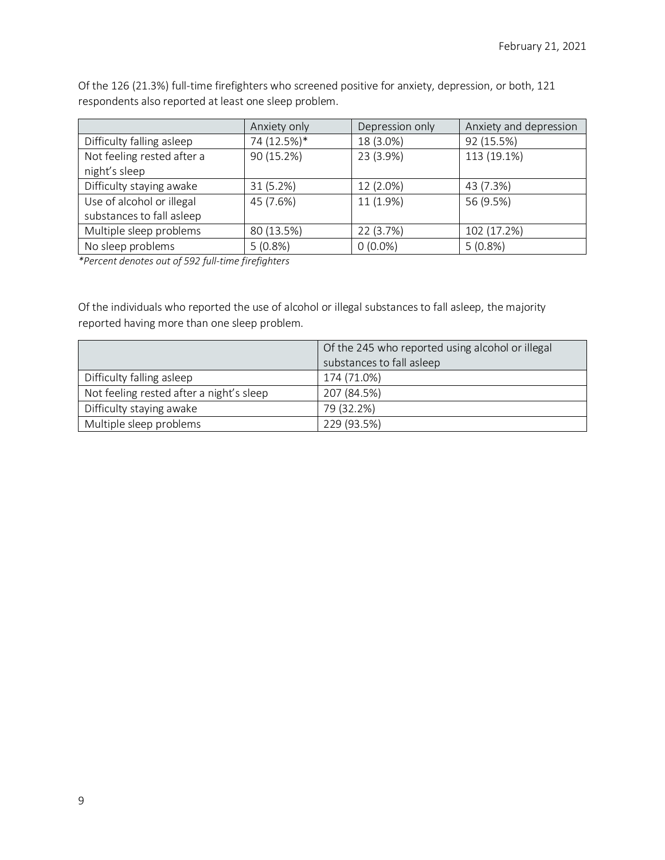Of the 126 (21.3%) full-time firefighters who screened positive for anxiety, depression, or both, 121 respondents also reported at least one sleep problem.

|                            | Anxiety only | Depression only | Anxiety and depression |
|----------------------------|--------------|-----------------|------------------------|
| Difficulty falling asleep  | 74 (12.5%)*  | 18 (3.0%)       | 92 (15.5%)             |
| Not feeling rested after a | 90 (15.2%)   | 23 (3.9%)       | 113 (19.1%)            |
| night's sleep              |              |                 |                        |
| Difficulty staying awake   | 31(5.2%)     | 12 (2.0%)       | 43 (7.3%)              |
| Use of alcohol or illegal  | 45 (7.6%)    | 11 (1.9%)       | 56 (9.5%)              |
| substances to fall asleep  |              |                 |                        |
| Multiple sleep problems    | 80 (13.5%)   | 22 (3.7%)       | 102 (17.2%)            |
| No sleep problems          | $5(0.8\%)$   | $0(0.0\%)$      | $5(0.8\%)$             |

*\*Percent denotes out of 592 full-time firefighters*

Of the individuals who reported the use of alcohol or illegal substances to fall asleep, the majority reported having more than one sleep problem.

|                                          | Of the 245 who reported using alcohol or illegal |
|------------------------------------------|--------------------------------------------------|
|                                          | substances to fall asleep                        |
| Difficulty falling asleep                | 174 (71.0%)                                      |
| Not feeling rested after a night's sleep | 207 (84.5%)                                      |
| Difficulty staying awake                 | 79 (32.2%)                                       |
| Multiple sleep problems                  | 229 (93.5%)                                      |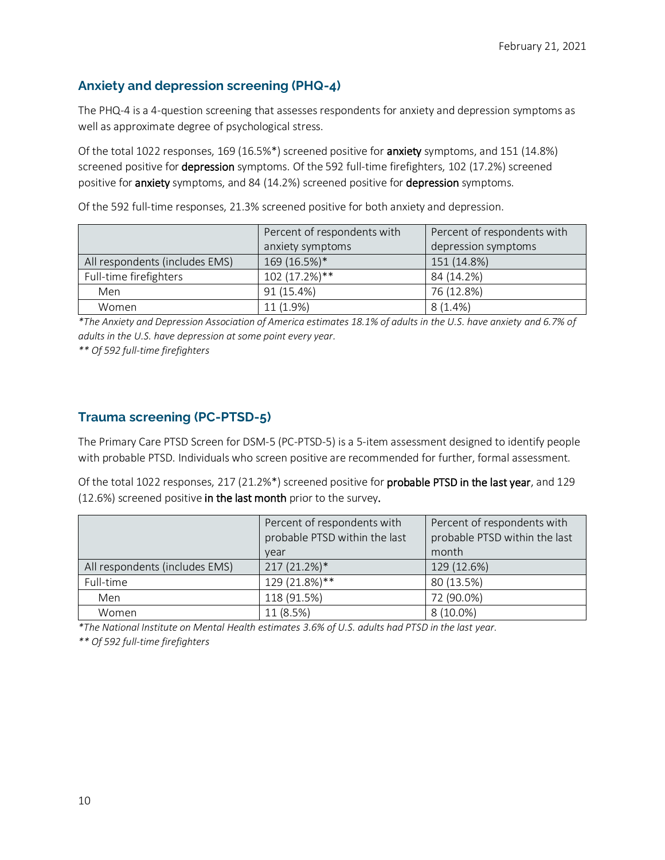# **Anxiety and depression screening (PHQ-4)**

The PHQ-4 is a 4-question screening that assesses respondents for anxiety and depression symptoms as well as approximate degree of psychological stress.

Of the total 1022 responses, 169 (16.5%\*) screened positive for anxiety symptoms, and 151 (14.8%) screened positive for depression symptoms. Of the 592 full-time firefighters, 102 (17.2%) screened positive for **anxiety** symptoms, and 84 (14.2%) screened positive for **depression** symptoms.

Of the 592 full-time responses, 21.3% screened positive for both anxiety and depression.

|                                | Percent of respondents with | Percent of respondents with |
|--------------------------------|-----------------------------|-----------------------------|
|                                | anxiety symptoms            | depression symptoms         |
| All respondents (includes EMS) | 169 (16.5%)*                | 151 (14.8%)                 |
| Full-time firefighters         | 102 (17.2%)**               | 84 (14.2%)                  |
| Men                            | 91 (15.4%)                  | 76 (12.8%)                  |
| Women                          | 11 (1.9%)                   | $8(1.4\%)$                  |

*\*The Anxiety and Depression Association of America estimates 18.1% of adults in the U.S. have anxiety and 6.7% of adults in the U.S. have depression at some point every year.*

*\*\* Of 592 full-time firefighters*

## **Trauma screening (PC-PTSD-5)**

The Primary Care PTSD Screen for DSM-5 (PC-PTSD-5) is a 5-item assessment designed to identify people with probable PTSD. Individuals who screen positive are recommended for further, formal assessment.

Of the total 1022 responses, 217 (21.2%\*) screened positive for probable PTSD in the last year, and 129 (12.6%) screened positive in the last month prior to the survey.

|                                | Percent of respondents with<br>probable PTSD within the last<br>vear | Percent of respondents with<br>probable PTSD within the last<br>month |
|--------------------------------|----------------------------------------------------------------------|-----------------------------------------------------------------------|
| All respondents (includes EMS) | 217 (21.2%)*                                                         | 129 (12.6%)                                                           |
| Full-time                      | 129 (21.8%)**                                                        | 80 (13.5%)                                                            |
| Men                            | 118 (91.5%)                                                          | 72 (90.0%)                                                            |
| Women                          | 11 (8.5%)                                                            | $8(10.0\%)$                                                           |

*\*The National Institute on Mental Health estimates 3.6% of U.S. adults had PTSD in the last year.*

*\*\* Of 592 full-time firefighters*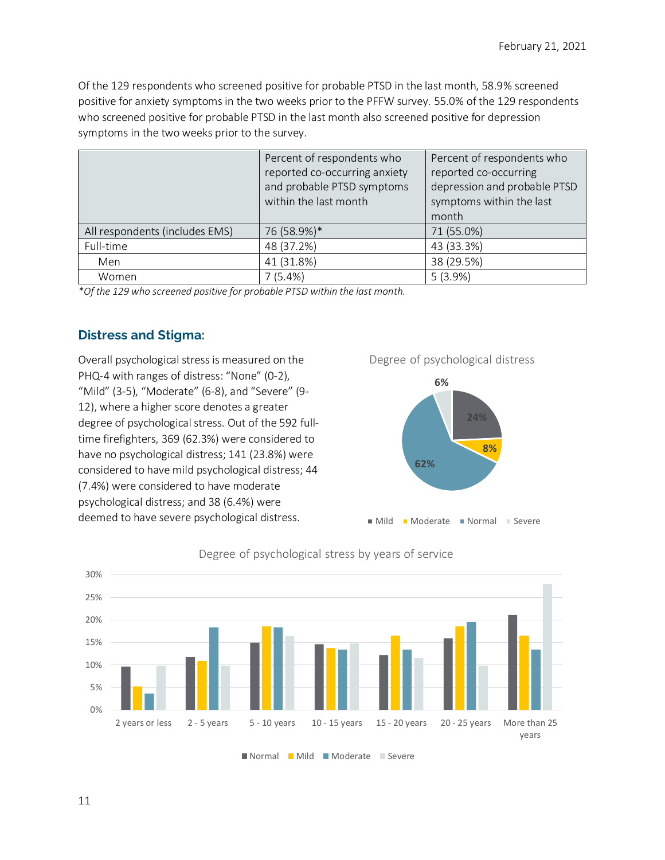Of the 129 respondents who screened positive for probable PTSD in the last month, 58.9% screened positive for anxiety symptoms in the two weeks prior to the PFFW survey. 55.0% of the 129 respondents who screened positive for probable PTSD in the last month also screened positive for depression symptoms in the two weeks prior to the survey.

|                                | Percent of respondents who    | Percent of respondents who   |
|--------------------------------|-------------------------------|------------------------------|
|                                | reported co-occurring anxiety | reported co-occurring        |
|                                | and probable PTSD symptoms    | depression and probable PTSD |
|                                | within the last month         | symptoms within the last     |
|                                |                               | month                        |
| All respondents (includes EMS) | 76 (58.9%)*                   | 71 (55.0%)                   |
| Full-time                      | 48 (37.2%)                    | 43 (33.3%)                   |
| Men                            | 41 (31.8%)                    | 38 (29.5%)                   |
| Women                          | 7(5.4%)                       | 5(3.9%)                      |

*\*Of the 129 who screened positive for probable PTSD within the last month.*

# **Distress and Stigma:**

Overall psychological stress is measured on the PHQ-4 with ranges of distress: "None" (0-2), "Mild" (3-5), "Moderate" (6-8), and "Severe" (9- 12), where a higher score denotes a greater degree of psychological stress. Out of the 592 fulltime firefighters, 369 (62.3%) were considered to have no psychological distress; 141 (23.8%) were considered to have mild psychological distress; 44 (7.4%) were considered to have moderate psychological distress; and 38 (6.4%) were deemed to have severe psychological distress.



Degree of psychological distress



Degree of psychological stress by years of service

Normal Mild Moderate Severe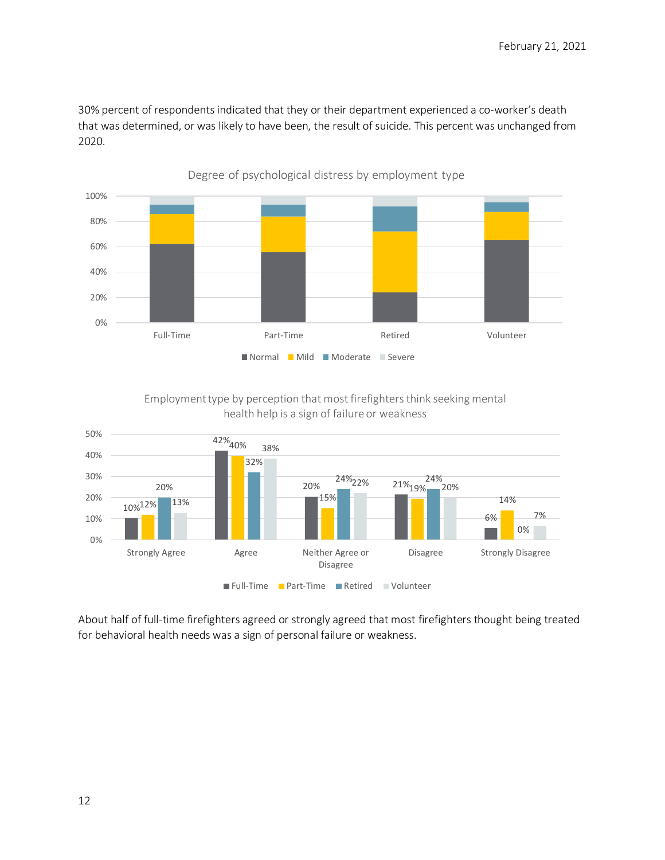30% percent of respondents indicated that they or their department experienced a co-worker's death that was determined, or was likely to have been, the result of suicide. This percent was unchanged from 2020.



Employment type by perception that most firefighters think seeking mental health help is a sign of failure or weakness



About half of full-time firefighters agreed or strongly agreed that most firefighters thought being treated for behavioral health needs was a sign of personal failure or weakness.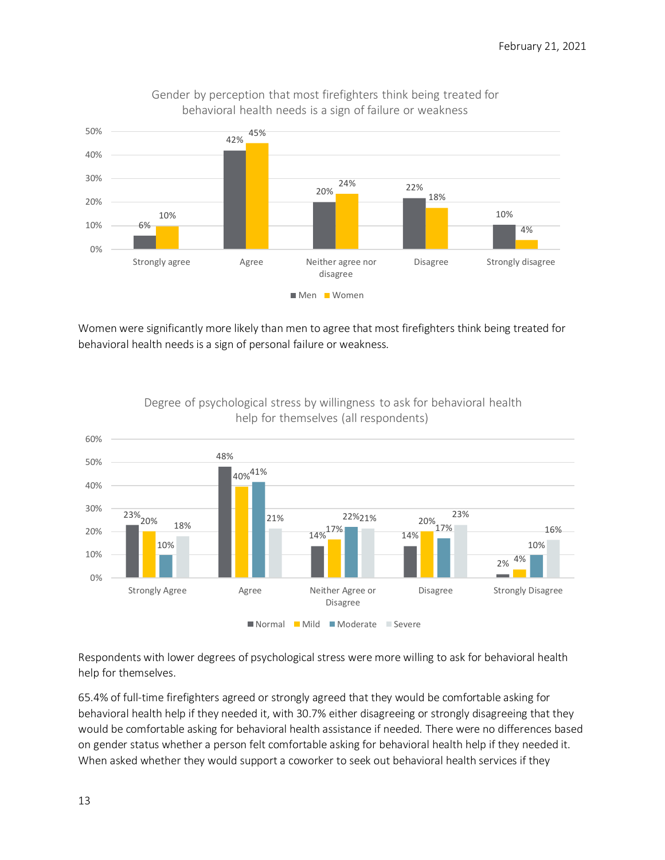

Gender by perception that most firefighters think being treated for behavioral health needs is a sign of failure or weakness

Women were significantly more likely than men to agree that most firefighters think being treated for behavioral health needs is a sign of personal failure or weakness.



Degree of psychological stress by willingness to ask for behavioral health help for themselves (all respondents)

Respondents with lower degrees of psychological stress were more willing to ask for behavioral health help for themselves.

65.4% of full-time firefighters agreed or strongly agreed that they would be comfortable asking for behavioral health help if they needed it, with 30.7% either disagreeing or strongly disagreeing that they would be comfortable asking for behavioral health assistance if needed. There were no differences based on gender status whether a person felt comfortable asking for behavioral health help if they needed it. When asked whether they would support a coworker to seek out behavioral health services if they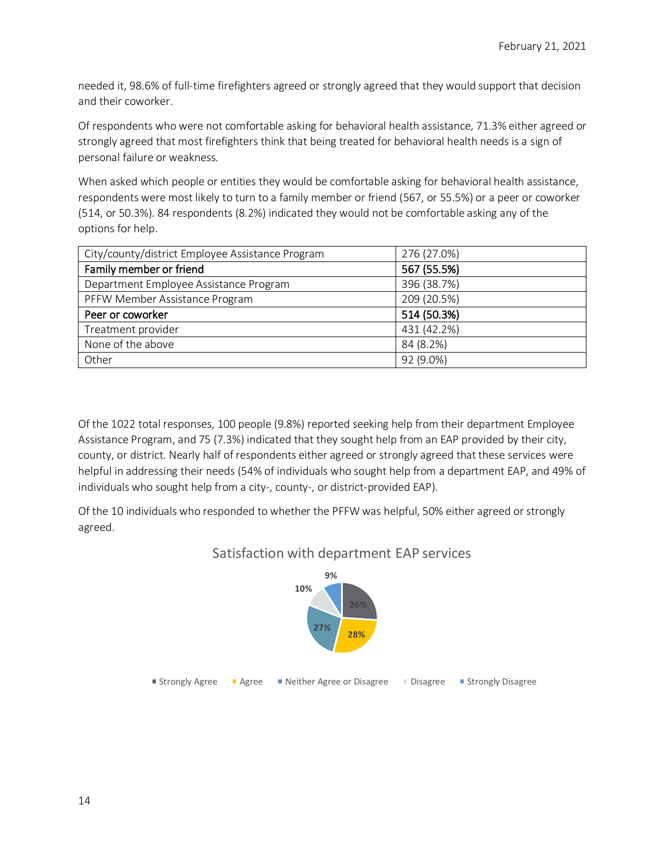needed it, 98.6% of full-time firefighters agreed or strongly agreed that they would support that decision and their coworker.

Of respondents who were not comfortable asking for behavioral health assistance, 71.3% either agreed or strongly agreed that most firefighters think that being treated for behavioral health needs is a sign of personal failure or weakness.

When asked which people or entities they would be comfortable asking for behavioral health assistance, respondents were most likely to turn to a family member or friend (567, or 55.5%) or a peer or coworker (514, or 50.3%). 84 respondents (8.2%) indicated they would not be comfortable asking any of the options for help.

| City/county/district Employee Assistance Program | 276 (27.0%) |
|--------------------------------------------------|-------------|
| Family member or friend                          | 567 (55.5%) |
| Department Employee Assistance Program           | 396 (38.7%) |
| PFFW Member Assistance Program                   | 209 (20.5%) |
| Peer or coworker                                 | 514 (50.3%) |
| Treatment provider                               | 431 (42.2%) |
| None of the above                                | 84 (8.2%)   |
| Other                                            | 92 (9.0%)   |

Of the 1022 total responses, 100 people (9.8%) reported seeking help from their department Employee Assistance Program, and 75 (7.3%) indicated that they sought help from an EAP provided by their city, county, or district. Nearly half of respondents either agreed or strongly agreed that these services were helpful in addressing their needs (54% of individuals who sought help from a department EAP, and 49% of individuals who sought help from a city-, county-, or district-provided EAP).

Of the 10 individuals who responded to whether the PFFW was helpful, 50% either agreed or strongly agreed.



# Satisfaction with department EAP services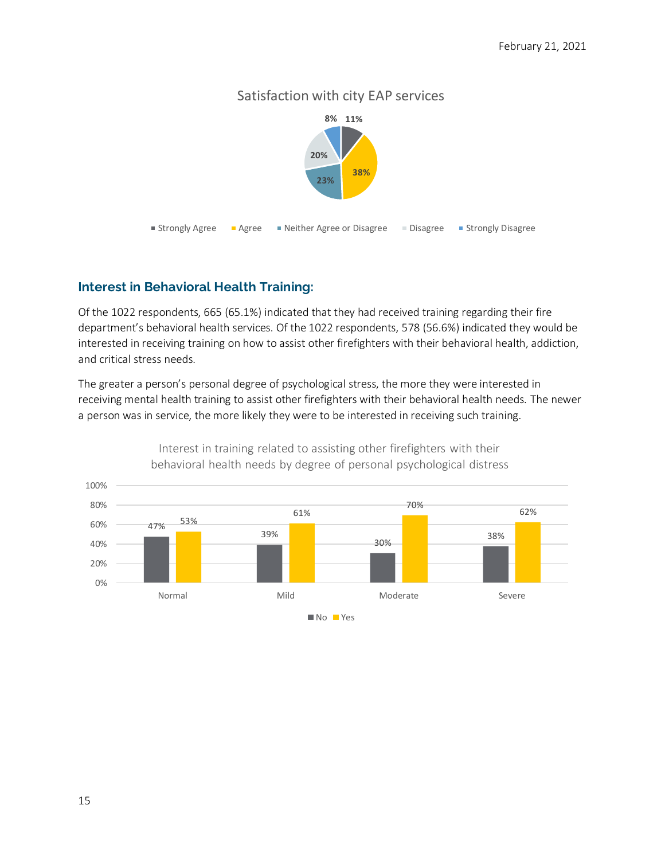# Satisfaction with city EAP services



# **Interest in Behavioral Health Training:**

Of the 1022 respondents, 665 (65.1%) indicated that they had received training regarding their fire department's behavioral health services. Of the 1022 respondents, 578 (56.6%) indicated they would be interested in receiving training on how to assist other firefighters with their behavioral health, addiction, and critical stress needs.

The greater a person's personal degree of psychological stress, the more they were interested in receiving mental health training to assist other firefighters with their behavioral health needs. The newer a person was in service, the more likely they were to be interested in receiving such training.



Interest in training related to assisting other firefighters with their behavioral health needs by degree of personal psychological distress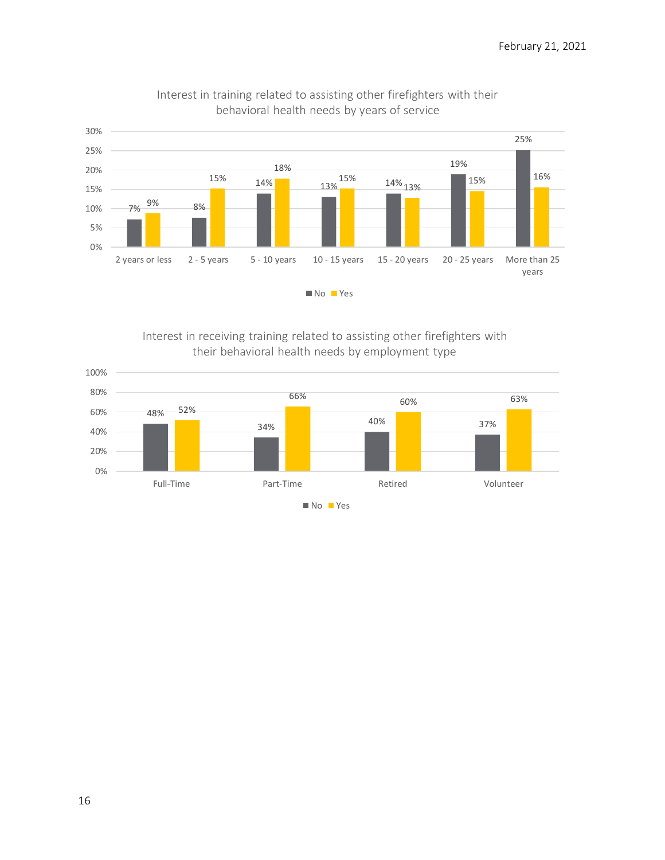

Interest in training related to assisting other firefighters with their behavioral health needs by years of service

Interest in receiving training related to assisting other firefighters with their behavioral health needs by employment type